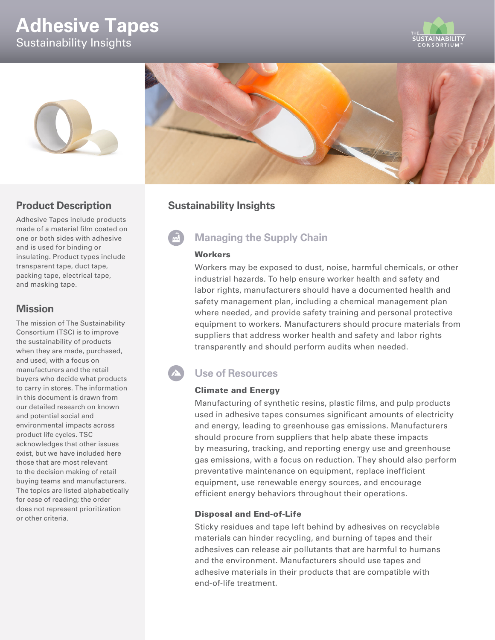# **Adhesive Tapes** Sustainability Insights







### **Product Description**

Adhesive Tapes include products made of a material film coated on one or both sides with adhesive and is used for binding or insulating. Product types include transparent tape, duct tape, packing tape, electrical tape, and masking tape.

### **Mission**

The mission of The Sustainability Consortium (TSC) is to improve the sustainability of products when they are made, purchased, and used, with a focus on manufacturers and the retail buyers who decide what products to carry in stores. The information in this document is drawn from our detailed research on known and potential social and environmental impacts across product life cycles. TSC acknowledges that other issues exist, but we have included here those that are most relevant to the decision making of retail buying teams and manufacturers. The topics are listed alphabetically for ease of reading; the order does not represent prioritization or other criteria.

## **Sustainability Insights**

## **Managing the Supply Chain**

### **Workers**

Workers may be exposed to dust, noise, harmful chemicals, or other industrial hazards. To help ensure worker health and safety and labor rights, manufacturers should have a documented health and safety management plan, including a chemical management plan where needed, and provide safety training and personal protective equipment to workers. Manufacturers should procure materials from suppliers that address worker health and safety and labor rights transparently and should perform audits when needed.

## **Use of Resources**

### Climate and Energy

Manufacturing of synthetic resins, plastic films, and pulp products used in adhesive tapes consumes significant amounts of electricity and energy, leading to greenhouse gas emissions. Manufacturers should procure from suppliers that help abate these impacts by measuring, tracking, and reporting energy use and greenhouse gas emissions, with a focus on reduction. They should also perform preventative maintenance on equipment, replace inefficient equipment, use renewable energy sources, and encourage efficient energy behaviors throughout their operations.

### Disposal and End-of-Life

Sticky residues and tape left behind by adhesives on recyclable materials can hinder recycling, and burning of tapes and their adhesives can release air pollutants that are harmful to humans and the environment. Manufacturers should use tapes and adhesive materials in their products that are compatible with end-of-life treatment.